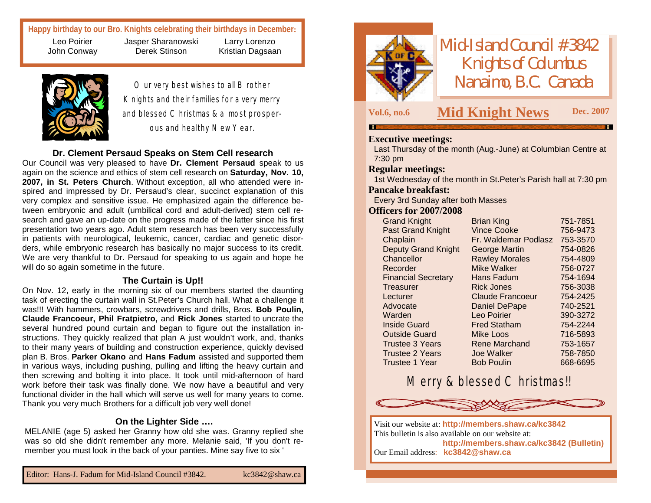**Happy birthday to our Bro. Knights celebrating their birthdays in December:**

Leo Poirier John Conway Jasper Sharanowski Derek Stinson



Our very best wishes to all Brother Knights and their families for a very merry and blessed Christmas & a most prosperous and healthy New Year.

Larry Lorenzo Kristian Dagsaan

### **Dr. Clement Persaud Speaks on Stem Cell research**

Our Council was very pleased to have **Dr. Clement Persaud** speak to us again on the science and ethics of stem cell research on **Saturday, Nov. 10, 2007, in St. Peters Church**. Without exception, all who attended were inspired and impressed by Dr. Persaud's clear, succinct explanation of this very complex and sensitive issue. He emphasized again the difference between embryonic and adult (umbilical cord and adult-derived) stem cell research and gave an up-date on the progress made of the latter since his first presentation two years ago. Adult stem research has been very successfully in patients with neurological, leukemic, cancer, cardiac and genetic disorders, while embryonic research has basically no major success to its credit. We are very thankful to Dr. Persaud for speaking to us again and hope he will do so again sometime in the future.

#### **The Curtain is Up!!**

On Nov. 12, early in the morning six of our members started the daunting task of erecting the curtain wall in St.Peter's Church hall. What a challenge it was!!! With hammers, crowbars, screwdrivers and drills, Bros. **Bob Poulin, Claude Francoeur, Phil Fratpietro,** and **Rick Jones** started to uncrate the several hundred pound curtain and began to figure out the installation instructions. They quickly realized that plan A just wouldn't work, and, thanks to their many years of building and construction experience, quickly devised plan B. Bros. **Parker Okano** and **Hans Fadum** assisted and supported them in various ways, including pushing, pulling and lifting the heavy curtain and then screwing and bolting it into place. It took until mid-afternoon of hard work before their task was finally done. We now have a beautiful and very functional divider in the hall which will serve us well for many years to come. Thank you very much Brothers for a difficult job very well done!

### **On the Lighter Side ….**

MELANIE (age 5) asked her Granny how old she was. Granny replied she was so old she didn't remember any more. Melanie said, 'If you don't remember you must look in the back of your panties. Mine say five to six '



*Mid-Island Council #3842 Knights of Columbus Nanaimo, B.C. Canada*

### **Vol.6, no.6 Mid Knight News** Dec. 2007

### **Executive meetings:**

Last Thursday of the month (Aug.-June) at Columbian Centre at 7:30 pm

### **Regular meetings:**

1st Wednesday of the month in St.Peter's Parish hall at 7:30 pm

### **Pancake breakfast:**

Every 3rd Sunday after both Masses

#### **Officers for 2007/2008**

| <b>Grand Knight</b>        | <b>Brian King</b>       | 751-7851 |
|----------------------------|-------------------------|----------|
| <b>Past Grand Knight</b>   | <b>Vince Cooke</b>      | 756-9473 |
| Chaplain                   | Fr. Waldemar Podlasz    | 753-3570 |
| <b>Deputy Grand Knight</b> | George Martin           | 754-0826 |
| Chancellor                 | <b>Rawley Morales</b>   | 754-4809 |
| Recorder                   | Mike Walker             | 756-0727 |
| <b>Financial Secretary</b> | Hans Fadum              | 754-1694 |
| Treasurer                  | <b>Rick Jones</b>       | 756-3038 |
| Lecturer                   | <b>Claude Francoeur</b> | 754-2425 |
| Advocate                   | <b>Daniel DePape</b>    | 740-2521 |
| Warden                     | Leo Poirier             | 390-3272 |
| <b>Inside Guard</b>        | <b>Fred Statham</b>     | 754-2244 |
| <b>Outside Guard</b>       | Mike Loos               | 716-5893 |
| <b>Trustee 3 Years</b>     | <b>Rene Marchand</b>    | 753-1657 |
| <b>Trustee 2 Years</b>     | <b>Joe Walker</b>       | 758-7850 |
| <b>Trustee 1 Year</b>      | <b>Bob Poulin</b>       | 668-6695 |

## Merry & blessed Christmas!!



Visit our website at: **<http://members.shaw.ca/kc3842>** This bulletin is also available on our website at: **<http://members.shaw.ca/kc3842> (Bulletin)** Our Email address: **[kc3842@shaw.ca](mailto:kc3842@shaw.ca)**